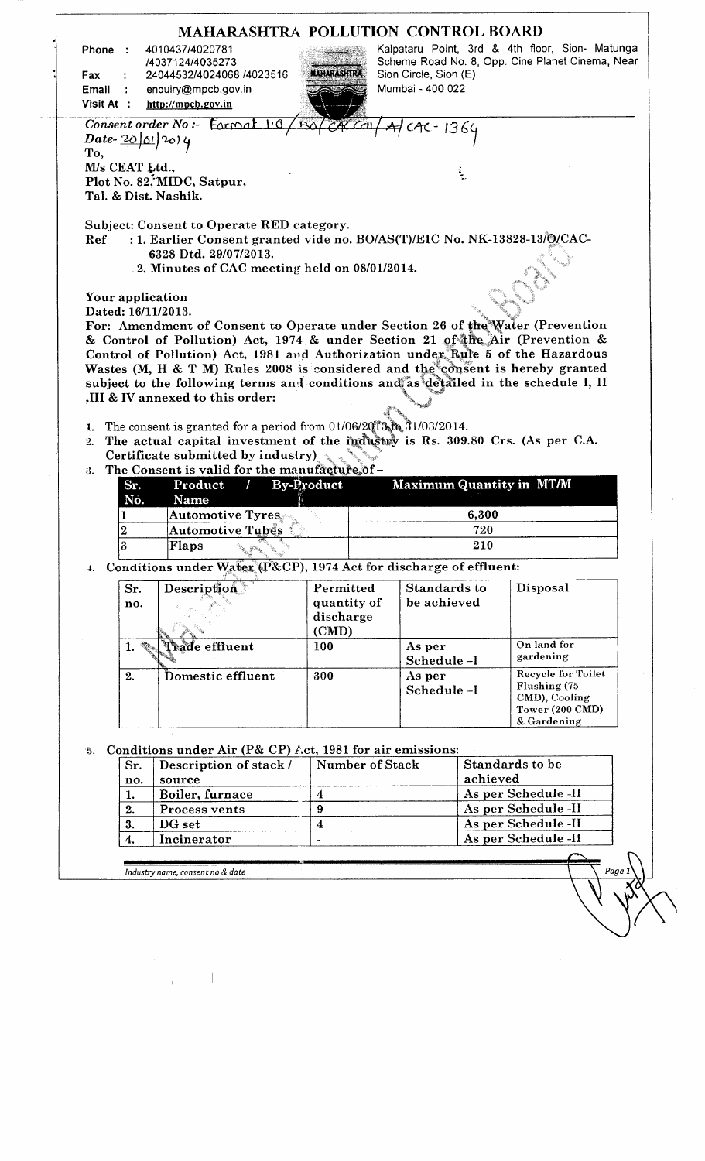|                                             |                  | <b>MAHARASHTRA POLLUTION CONTROL BOARD</b>                                                                                                                                                       |                          |                                            |                     |                                                                                                     |
|---------------------------------------------|------------------|--------------------------------------------------------------------------------------------------------------------------------------------------------------------------------------------------|--------------------------|--------------------------------------------|---------------------|-----------------------------------------------------------------------------------------------------|
| Phone:<br><b>Fax</b><br>Email<br>Visit At : |                  | 4010437/4020781<br>/4037124/4035273<br>24044532/4024068 /4023516<br>enquiry@mpcb.gov.in<br>http://mpcb.gov.in                                                                                    | <b>MAHARASHTRA</b>       | Sion Circle, Sion (E),<br>Mumbai - 400 022 |                     | Kalpataru Point, 3rd & 4th floor, Sion- Matunga<br>Scheme Road No. 8, Opp. Cine Planet Cinema, Near |
|                                             |                  | Consent order No: Format                                                                                                                                                                         |                          |                                            |                     |                                                                                                     |
|                                             |                  | $Date - 20  01  20  4$                                                                                                                                                                           |                          | :AC- 1364                                  |                     |                                                                                                     |
| To,                                         |                  |                                                                                                                                                                                                  |                          |                                            |                     |                                                                                                     |
|                                             | M/s CEAT Ltd.,   |                                                                                                                                                                                                  |                          |                                            | $\frac{1}{\lambda}$ |                                                                                                     |
|                                             |                  | Plot No. 82, MIDC, Satpur,                                                                                                                                                                       |                          |                                            |                     |                                                                                                     |
|                                             |                  | Tal. & Dist. Nashik.                                                                                                                                                                             |                          |                                            |                     |                                                                                                     |
| Ref                                         |                  | Subject: Consent to Operate RED category.<br>: 1. Earlier Consent granted vide no. BO/AS(T)/EIC No. NK-13828-13/O/CAC-<br>6328 Dtd. 29/07/2013.<br>2. Minutes of CAC meeting held on 08/01/2014. |                          |                                            |                     |                                                                                                     |
|                                             |                  |                                                                                                                                                                                                  |                          |                                            |                     |                                                                                                     |
|                                             | Your application |                                                                                                                                                                                                  |                          |                                            |                     |                                                                                                     |
|                                             |                  | Dated: 16/11/2013.<br>For: Amendment of Consent to Operate under Section 26 of the Water (Prevention                                                                                             |                          |                                            |                     |                                                                                                     |
|                                             |                  | & Control of Pollution) Act, 1974 & under Section 21 of the Air (Prevention &                                                                                                                    |                          |                                            |                     |                                                                                                     |
|                                             |                  | Control of Pollution) Act, 1981 and Authorization under Rule 5 of the Hazardous                                                                                                                  |                          |                                            |                     |                                                                                                     |
|                                             |                  | Wastes (M, H & T M) Rules 2008 is considered and the consent is hereby granted                                                                                                                   |                          |                                            |                     |                                                                                                     |
|                                             |                  | subject to the following terms and conditions and as detailed in the schedule I, II                                                                                                              |                          |                                            |                     |                                                                                                     |
|                                             |                  | ,III & IV annexed to this order:                                                                                                                                                                 |                          |                                            |                     |                                                                                                     |
|                                             |                  |                                                                                                                                                                                                  |                          |                                            |                     |                                                                                                     |
| 1.                                          |                  | The consent is granted for a period from 01/06/2013 to 31/03/2014.                                                                                                                               |                          |                                            |                     |                                                                                                     |
|                                             |                  | 2. The actual capital investment of the industry is Rs. 309.80 Crs. (As per C.A.                                                                                                                 |                          |                                            |                     |                                                                                                     |
| Certificate submitted by industry)          |                  |                                                                                                                                                                                                  |                          |                                            |                     |                                                                                                     |
|                                             |                  |                                                                                                                                                                                                  |                          |                                            |                     |                                                                                                     |
|                                             |                  | 3. The Consent is valid for the manufacture of -<br>Product                                                                                                                                      |                          |                                            |                     |                                                                                                     |
|                                             | Sr.<br>No.       | $\mathbf{v}$<br>Name                                                                                                                                                                             | <b>By-Product</b>        |                                            |                     | <b>Maximum Quantity in MT/M</b>                                                                     |
|                                             | 1                | $\bm{\mathrm{Automotive\;Types}_{\ell^{\circ}}}$                                                                                                                                                 |                          |                                            | 6,300               |                                                                                                     |
|                                             | $\boldsymbol{2}$ | <b>Automotive Tubes</b>                                                                                                                                                                          |                          |                                            | 720                 |                                                                                                     |
|                                             | 3                | Flaps                                                                                                                                                                                            |                          |                                            | 210                 |                                                                                                     |
| 4.                                          |                  | Conditions under Water (P&CP), 1974 Act for discharge of effluent:                                                                                                                               |                          |                                            |                     |                                                                                                     |
|                                             |                  |                                                                                                                                                                                                  |                          |                                            |                     |                                                                                                     |
|                                             | Sr.              | Description                                                                                                                                                                                      | Permitted                | <b>Standards to</b>                        |                     | Disposal                                                                                            |
|                                             | no.              |                                                                                                                                                                                                  | quantity of<br>discharge | be achieved                                |                     |                                                                                                     |
|                                             |                  |                                                                                                                                                                                                  | (CMD)                    |                                            |                     |                                                                                                     |
|                                             | 1.               | Trade effluent                                                                                                                                                                                   | 100                      | As per                                     |                     | On land for                                                                                         |
|                                             |                  |                                                                                                                                                                                                  |                          | Schedule-I                                 |                     | gardening                                                                                           |
|                                             | 2.               | Domestic effluent                                                                                                                                                                                | 300                      | As per<br>Schedule-I                       |                     | <b>Recycle for Toilet</b><br>Flushing (75<br>CMD), Cooling<br><b>Tower (200 CMD)</b><br>& Gardening |
|                                             |                  |                                                                                                                                                                                                  |                          |                                            |                     |                                                                                                     |
|                                             |                  | Conditions under Air (P& CP) Act, 1981 for air emissions:                                                                                                                                        |                          |                                            |                     |                                                                                                     |
|                                             | Sr.              | Description of stack /                                                                                                                                                                           |                          | Number of Stack                            |                     | Standards to be                                                                                     |
|                                             | no.              | source                                                                                                                                                                                           |                          |                                            | achieved            |                                                                                                     |
|                                             | 1.               | Boiler, furnace                                                                                                                                                                                  | $\boldsymbol{4}$         |                                            |                     | As per Schedule -II                                                                                 |
|                                             | 2.               | Process vents                                                                                                                                                                                    | 9                        |                                            |                     | As per Schedule -II                                                                                 |
|                                             | 3.<br>4.         | DG set                                                                                                                                                                                           | $\boldsymbol{4}$         |                                            |                     | As per Schedule -II                                                                                 |
| 5.                                          |                  | Incinerator                                                                                                                                                                                      |                          |                                            |                     | As per Schedule -II                                                                                 |
|                                             |                  |                                                                                                                                                                                                  |                          |                                            |                     |                                                                                                     |
|                                             |                  | Industry name, consent no & date                                                                                                                                                                 |                          |                                            |                     | Page:                                                                                               |

 $\mathcal{L}_{\mathrm{max}}$  and  $\mathcal{L}_{\mathrm{max}}$ 

 $\overline{\phantom{a}}$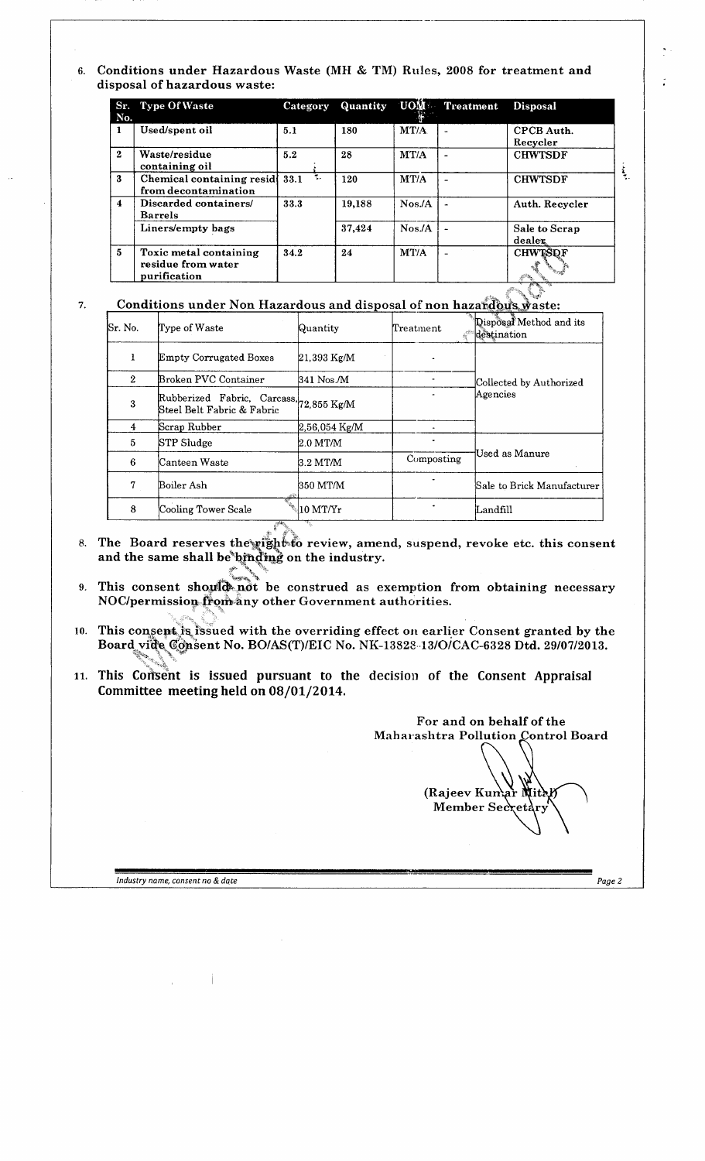**6. Conditions under Hazardous Waste (MH & TM) Rules, 2008 for treatment and disposal of hazardous waste:**

| Sr.<br>No.              | <b>Type Of Waste</b>                                         | Category   | Quantity | <b>UOM</b> | <b>Treatment</b> | <b>Disposal</b>                             |  |
|-------------------------|--------------------------------------------------------------|------------|----------|------------|------------------|---------------------------------------------|--|
|                         | Used/spent oil                                               | 5.1        | 180      | MT/A       |                  | <b>CPCB</b> Auth.<br>Recycler               |  |
| $\mathbf{2}$            | Waste/residue<br>containing oil                              | 5.2        | 28       | MT/A       |                  | <b>CHWTSDF</b>                              |  |
| 3                       | Chemical containing resid<br>from decontamination            | 33.1<br>٠. | 120      | MT/A       |                  | <b>CHWTSDF</b>                              |  |
| $\overline{\mathbf{4}}$ | Discarded containers/<br><b>Barrels</b>                      | 33.3       | 19,188   | $N$ os./A  |                  | Auth. Recycler                              |  |
|                         | Liners/empty bags                                            |            | 37,424   | $N$ os./A  |                  | Sale to Scrap<br>dealer                     |  |
| 5                       | Toxic metal containing<br>residue from water<br>purification | 34.2       | 24       | MT/A       |                  | <b>CHWTSDF</b><br>أعرباه<br><b>ANTISCHE</b> |  |

## **7. Conditions under Non Hazardous and disposal of non hazardou's.waste:**

| Sr. No.      | Type of Waste                                                         | Quantity          | Treatment  | Disposal Method and its<br>destination |  |
|--------------|-----------------------------------------------------------------------|-------------------|------------|----------------------------------------|--|
| 1            | <b>Empty Corrugated Boxes</b>                                         | 21.393 Kg/M       |            |                                        |  |
| $\mathbf{2}$ | <b>Broken PVC Container</b>                                           | 341 Nos./M        |            | Collected by Authorized                |  |
| 3            | Rubberized Fabric, Carcass, 72,855 Kg/M<br>Steel Belt Fabric & Fabric |                   |            | Agencies                               |  |
| 4            | Scrap Rubber                                                          | $2,56,054$ Kg/M   |            |                                        |  |
| 5            | STP Sludge                                                            | $2.0$ MT/M        |            |                                        |  |
| 6            | Canteen Waste                                                         | $3.2$ MT/M        | Composting | Used as Manure                         |  |
| 7            | Boiler Ash                                                            | 350 MT/M          |            | Sale to Brick Manufacturer             |  |
| 8            | Cooling Tower Scale<br>di lin.                                        | $10$ MT/Yr<br>फ्र |            | Landfill                               |  |

- 8. The Board reserves the right to review, amend, suspend, revoke etc. this consent and the same shall be binding on the industry.
- **9.** This consent should not be construed as exemption from obtaining necessary **NOC/permission froiii any other Government authorities.**
- **10. This consent is, issued with the overriding effect on earlier Consent granted by the Board vide Consent No. BO/AS(T)/EIC No. NK-13828 13/O/CAC-6328 Dtd. 29/07/2013.**
- **11. This Consent is issued pursuant to the decision of the Consent Appraisal Committee meeting held on 08/01/2014.**

**For and on behalf of the Maharashtra Pollution Control Board** (Rajeev Kumar Mit Member Secret

Industry name, consent no & date Page 2

 $\mathcal{A}$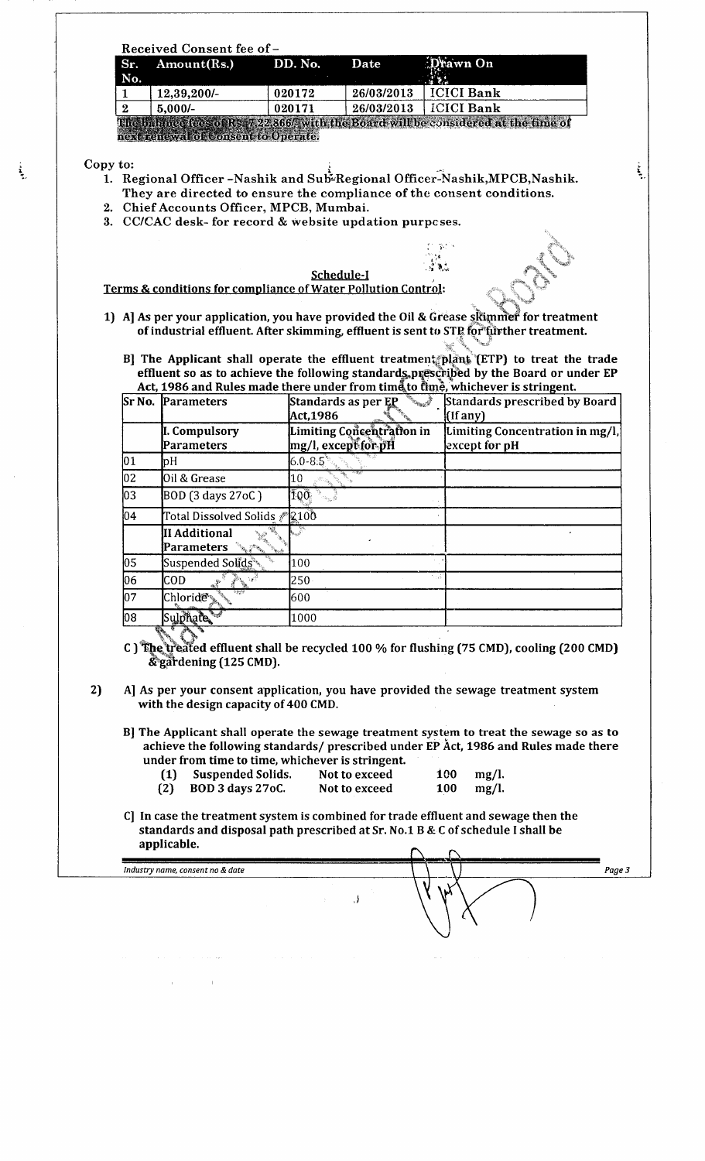| Sr.<br>No.     | Amount(Rs.)                                                                                                    | DD. No.     | Date                           | )rawn On                                                                                                                                                                                                                                                                                                                                                            |
|----------------|----------------------------------------------------------------------------------------------------------------|-------------|--------------------------------|---------------------------------------------------------------------------------------------------------------------------------------------------------------------------------------------------------------------------------------------------------------------------------------------------------------------------------------------------------------------|
| 1              | 12,39,200/-                                                                                                    | 020172      | 26/03/2013                     | <b>ICICI Bank</b>                                                                                                                                                                                                                                                                                                                                                   |
| $\overline{2}$ | $5,000/-$                                                                                                      | 020171      | 26/03/2013                     | <b>ICICI Bank</b>                                                                                                                                                                                                                                                                                                                                                   |
|                | next renewal of Consent to Operate.                                                                            |             |                                | The balance fees of Rs. $\sqrt{2}2.866$ with the Board will be considered at the time of                                                                                                                                                                                                                                                                            |
| Copy to:       | 2. Chief Accounts Officer, MPCB, Mumbai.<br>3. CC/CAC desk-for record & website updation purpeses.             |             |                                | 1. Regional Officer-Nashik and Sub-Regional Officer-Nashik, MPCB, Nashik.<br>They are directed to ensure the compliance of the consent conditions.                                                                                                                                                                                                                  |
|                |                                                                                                                |             |                                |                                                                                                                                                                                                                                                                                                                                                                     |
|                |                                                                                                                |             | Schedule-I                     |                                                                                                                                                                                                                                                                                                                                                                     |
|                | Terms & conditions for compliance of Water Pollution Control:                                                  |             |                                |                                                                                                                                                                                                                                                                                                                                                                     |
|                |                                                                                                                |             |                                | 1) A] As per your application, you have provided the Oil & Grease skimmer for treatment<br>of industrial effluent. After skimming, effluent is sent to STP for further treatment.<br>B] The Applicant shall operate the effluent treatment plant (ETP) to treat the trade<br>effluent so as to achieve the following standards, prescribed by the Board or under EP |
|                | Sr No. Parameters                                                                                              |             | Standards as per EP            | Act, 1986 and Rules made there under from time to time, whichever is stringent.<br><b>Standards prescribed by Board</b>                                                                                                                                                                                                                                             |
|                |                                                                                                                | Act,1986    |                                | an Santa B<br>(If any)                                                                                                                                                                                                                                                                                                                                              |
|                | I. Compulsory                                                                                                  |             | Limiting Concentration in      | Limiting Concentration in mg/l,                                                                                                                                                                                                                                                                                                                                     |
|                | Parameters                                                                                                     |             | mg/l, except for pH            | except for pH                                                                                                                                                                                                                                                                                                                                                       |
| 01             | pH                                                                                                             | $6.0 - 8.5$ |                                |                                                                                                                                                                                                                                                                                                                                                                     |
| 02             | Oil & Grease                                                                                                   | 10          |                                |                                                                                                                                                                                                                                                                                                                                                                     |
| 03             | BOD (3 days 27oC)                                                                                              | 100         |                                |                                                                                                                                                                                                                                                                                                                                                                     |
| 04             | Total Dissolved Solids $\sqrt[p]{2100}$                                                                        |             |                                |                                                                                                                                                                                                                                                                                                                                                                     |
|                | II Additional<br>Parameters                                                                                    |             |                                |                                                                                                                                                                                                                                                                                                                                                                     |
| 05             | Suspended Solids**                                                                                             | 100         |                                |                                                                                                                                                                                                                                                                                                                                                                     |
| 06             | <b>COD</b>                                                                                                     | $250 -$     |                                |                                                                                                                                                                                                                                                                                                                                                                     |
| 07             | Chloride*                                                                                                      | 600         |                                |                                                                                                                                                                                                                                                                                                                                                                     |
| 08             | .<br>Sulphare,                                                                                                 | 1000        |                                |                                                                                                                                                                                                                                                                                                                                                                     |
|                | &gardening (125 CMD).<br>with the design capacity of 400 CMD.                                                  |             |                                | C) The treated effluent shall be recycled 100 % for flushing (75 CMD), cooling (200 CMD)<br>A] As per your consent application, you have provided the sewage treatment system                                                                                                                                                                                       |
|                | under from time to time, whichever is stringent.<br><b>Suspended Solids.</b><br>(1)<br>(2)<br>BOD 3 days 27oC. |             | Not to exceed<br>Not to exceed | B] The Applicant shall operate the sewage treatment system to treat the sewage so as to<br>achieve the following standards/ prescribed under EP Act, 1986 and Rules made there<br>100<br>$mg/l$ .<br>100<br>$mg/l$ .                                                                                                                                                |
|                | applicable.                                                                                                    |             |                                | C] In case the treatment system is combined for trade effluent and sewage then the<br>standards and disposal path prescribed at Sr. No.1 B & C of schedule I shall be                                                                                                                                                                                               |
|                | Industry name, consent no & date                                                                               |             |                                | Page 3                                                                                                                                                                                                                                                                                                                                                              |
|                |                                                                                                                |             | .)                             |                                                                                                                                                                                                                                                                                                                                                                     |

 $\hat{f}$  and  $\hat{f}$  is a set of the maximal polarization of the set of  $\hat{f}$  and  $\hat{f}$  are  $\hat{f}$ 

 $\mathcal{L}^{\text{max}}_{\text{max}}$  and  $\mathcal{L}^{\text{max}}_{\text{max}}$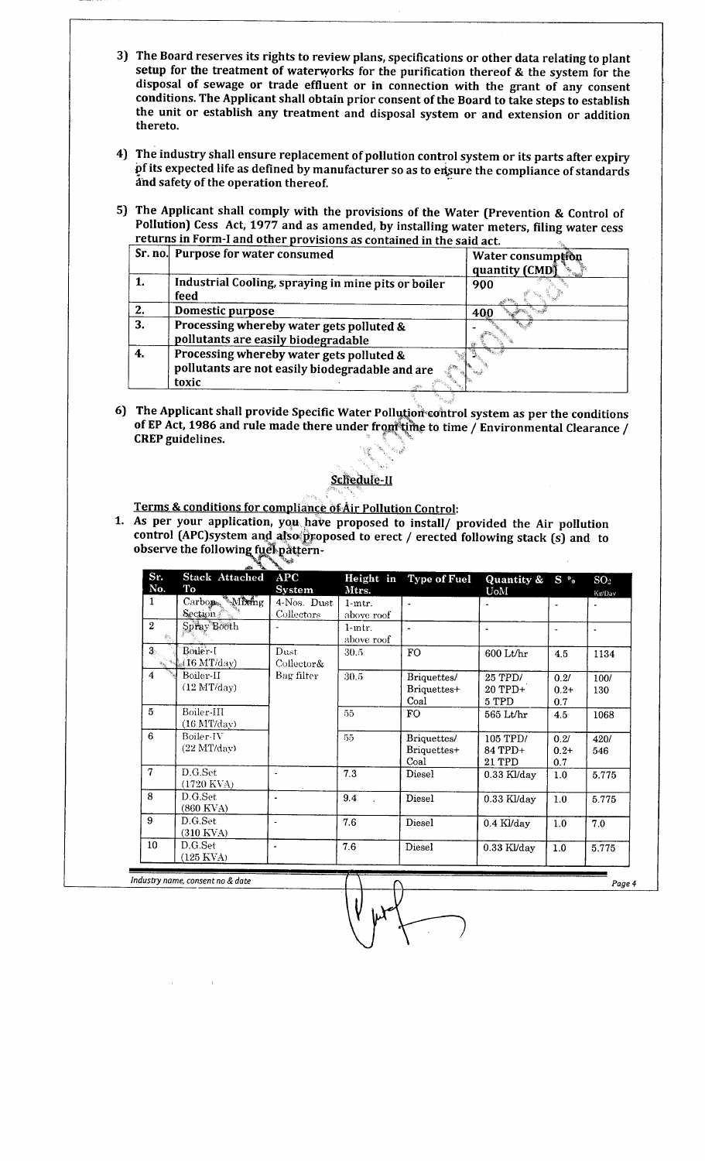- 3) The Board reserves its rights to review plans, specifications or other data relating to plant setup for the treatment of waterworks for the purification thereof & the system for the disposal of sewage or trade effluent or in connection with the grant of any consent conditions. The Applicant shall obtain prior consent of the Board to take steps to establish the unit or establish any treatment and disposal system or and extension or addition thereto.
- 4) The industry shall ensure replacement of pollution control system or its parts after expiry pf its expected life as defined by manufacturer so as to ensure the compliance of standards and safety of the operation thereof.
- 5) The Applicant shall comply with the provisions of the Water (Prevention & Control of Pollution) Cess Act, 1977 and as amended, by installing water meters, filing water cess returns in Form-1 and other provisions as contained in the said act.

|    | Sr. no. Purpose for water consumed                                                                   | Water consumption<br>quantity (CMD) |
|----|------------------------------------------------------------------------------------------------------|-------------------------------------|
| 1. | Industrial Cooling, spraying in mine pits or boiler<br>feed                                          | 900                                 |
| 2. | Domestic purpose                                                                                     | 400                                 |
| 3. | Processing whereby water gets polluted &<br>pollutants are easily biodegradable                      |                                     |
| 4. | Processing whereby water gets polluted &<br>pollutants are not easily biodegradable and are<br>toxic |                                     |

6) The Applicant shall provide Specific Water Pollution control system as per the conditions of EP Act, 1986 and rule made there under from time to time / Environmental Clearance / CREP guidelines.

## Schedule-II

Terms & conditions for compliance of. Air Pollution Control:

1. As per your application, you have proposed to install/ provided the Air pollution control (APC)system and also proposed to erect / erected following stack (s) and to observe the following fuel pattern-

| Sr.<br>No.                                                 | <b>Stack Attached</b><br>To     | APC<br>System             | Mtrs.                | Height in Type of Fuel             | Quantity & $S_{0}$<br>UoM     |                          | SO <sub>2</sub><br>Kg/Dav |
|------------------------------------------------------------|---------------------------------|---------------------------|----------------------|------------------------------------|-------------------------------|--------------------------|---------------------------|
| 1                                                          | Carbone, Mixing<br>Section 2    | 4-Nos. Dust<br>Collectors | 1-mtr.<br>above roof | $\bullet$                          |                               | $\overline{\phantom{a}}$ | $\bullet$                 |
| $\overline{2}$<br>勲                                        | Spray Booth                     |                           | 1-mtr.<br>above roof | $\tilde{\phantom{a}}$              | $\ddot{\phantom{0}}$          | $\tilde{\phantom{a}}$    | $\bullet$                 |
| $3_{\circ}$<br>$\mathcal{F}_{\mathcal{D}_{\mathcal{D}}}$ . | Boiler-I<br>$\sim$ (16 MT/day)  | Dust<br>Collector&        | 30.5                 | FO.                                | $600$ Lt/hr                   | 4.5                      | 1134                      |
| 4                                                          | $Boiler-II$<br>(12 M T/day)     | Bag filter                | 30.5                 | Briquettes/<br>Briquettes+<br>Coal | 25 TPD/<br>$20$ TPD+<br>5 TPD | 0.2/<br>$0.2 +$<br>0.7   | 100/<br>130               |
| 5                                                          | Boiler-III<br>$(16$ MT/day)     |                           | 55                   | FO                                 | $565$ Lt/hr                   | 4.5                      | 1068                      |
| 6                                                          | Boiler-IV<br>(22 M T/day)       |                           | 55                   | Briquettes/<br>Briquettes+<br>Coal | 105 TPD/<br>84 TPD+<br>21 TPD | 0.2/<br>$0.2 +$<br>0.7   | 420/<br>546               |
| $\overline{7}$                                             | D.G.Set<br>$(1720 \text{ KVA})$ | $\overline{a}$            | 7.3                  | Diesel                             | $0.33$ Kl/day                 | 1.0                      | 5.775                     |
| 8                                                          | D.G.Set<br>$(860$ KVA)          | $\bullet$                 | 9.4                  | Diesel                             | $0.33$ Kl/day                 | 1.0                      | 5.775                     |
| 9                                                          | D.G.Set<br>(310 KVA)            | $\blacksquare$            | 7.6                  | Diesel                             | $0.4$ Kl/day                  | 1.0                      | 7.0                       |
| 10                                                         | D.G.Set<br>(125 KVA)            | $\ddot{\phantom{0}}$      | 7.6                  | Diesel                             | $0.33$ Kl/day                 | 1.0                      | 5.775                     |

*Industry name, consent no & date \ 4*

Page 4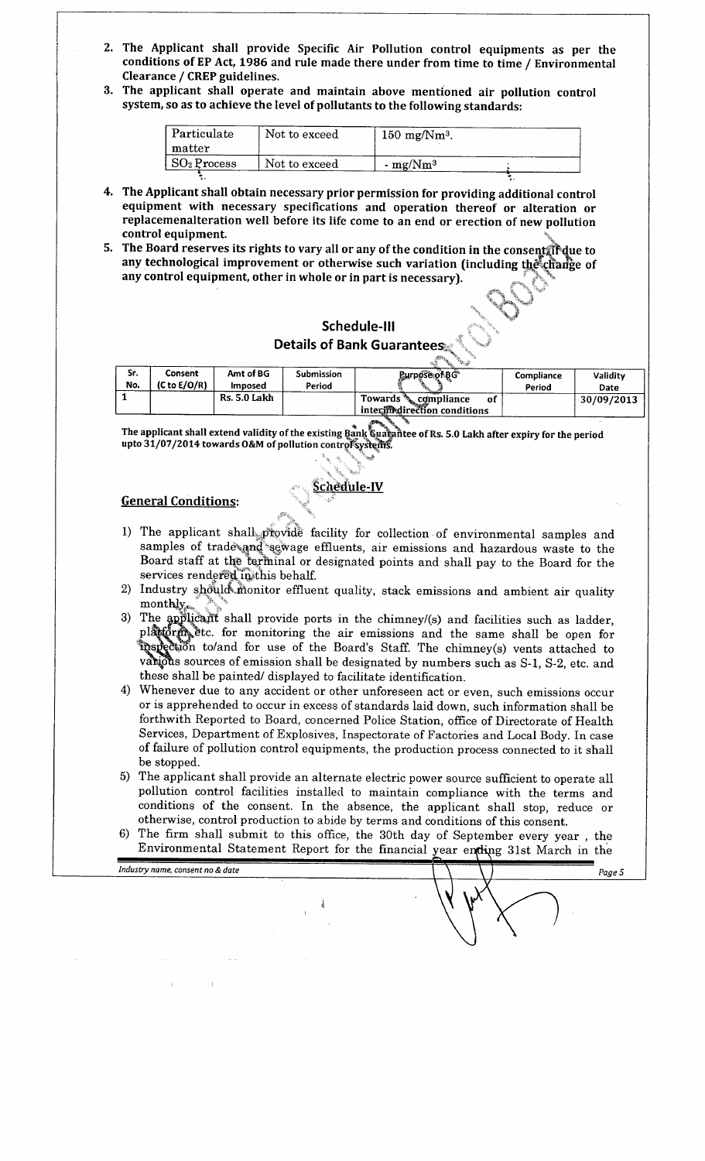- 2. **The Applicant shall provide Specific Air Pollution control equipments as per the conditions of EP Act, 1986 and rule made there under from time to time / Environmental Clearance / CREP guidelines.**
- 3. **The applicant shall operate and maintain above mentioned air pollution control system, so as to achieve the level of pollutants to the following standards:**

| Particulate<br>matter | Not to exceed | $150 \text{ mg}/\text{Nm}^3$ . |  |
|-----------------------|---------------|--------------------------------|--|
| $SO_2$ Process        | Not to exceed | $-$ mg/Nm <sup>3</sup>         |  |

- **4. The Applicant shall obtain necessary prior permission for providing additional control equipment with necessary specifications and operation thereof or alteration or replacemenalteration well before its life come to an end or erection of new pollution**<br>control equipment.
- 5. The Board reserves its rights to vary all or any of the condition in the consent if due to any technological improvement or otherwise such variation (including the change of any control equipment, other in whole or in part is necessary).

## **Schedule-Ill Details of Bank Guarantees**

| Sr. | Consent                 | Amt of BG           | Submission | Purpose of BG                                               | <b>Compliance</b> | Validity   |
|-----|-------------------------|---------------------|------------|-------------------------------------------------------------|-------------------|------------|
| No. | $(C \text{ to } E/O/R)$ | Imposed             | Period     |                                                             | Period            | Date       |
|     |                         | <b>Rs. 5.0 Lakh</b> |            | Towards<br>compliance<br>оf<br>interimedirection conditions |                   | 30/09/2013 |

**The applicant shall extend validity of the existing Bank Guarantee of Rs. 5.0 Lakh after expiry for the period upto 31/07/2014 towards O&M of pollution controfsysfceni**

## <u>Schedule-IV</u>

- **General Conditions:**
- 1) The applicant shall provide facility for collection of environmental samples and samples of trade and sewage effluents, air emissions and hazardous waste to the Board staff at the terminal or designated points and shall pay to the Board for the services rendered in this behalf.
- 2) Industry should monitor effluent quality, stack emissions and ambient air quality monthly<sub>s</sub>,
- 3) The applicant shall provide ports in the chimney/(s) and facilities such as ladder, platoring etc. for monitoring the air emissions and the same shall be open for to the chimney(s) vents attached to various sources of emission shall be designated by numbers such as S-1, S-2, etc. and these shall be painted/ displayed to facilitate identification.
- 4) Whenever due to any accident or other unforeseen act or even, such emissions occur or is apprehended to occur in excess of standards laid down, such information shall be forthwith Reported to Board, concerned Police Station, office of Directorate of Health Services, Department of Explosives, Inspectorate of Factories and Local Body. In case of failure of pollution control equipments, the production process connected to it shall be stopped.
- 5) The applicant shall provide an alternate electric power source sufficient to operate all pollution control facilities installed to maintain compliance with the terms and conditions of the consent. In the absence, the applicant shall stop, reduce or otherwise, control production to abide by terms and conditions of this consent.
- 6) The firm shall submit to this office, the 30th day of September every year , the Environmental Statement Report for the financial year ending 31st March in the

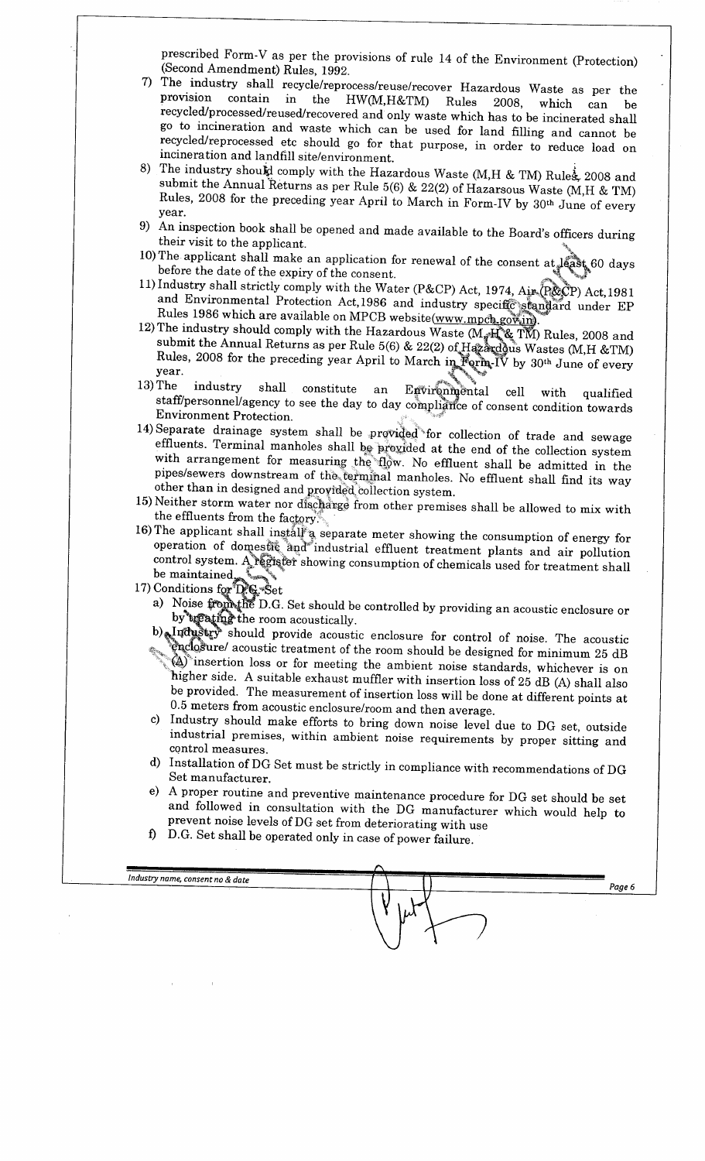prescribed Form-V as per the provisions of rule  $14 \times 10^{-10}$ (Second Amendment) Rules, 1992.

- $7$ ) The industry shall recycle/reprocess/reuse/recover Hazardous Waster as per the set of  $\sim$ provision contain in the HWM H&TM) Rules 2009, which can be the recycled/processed/reused/recovered and only waste which  $\alpha$  can be increased to be included shall have included shall have to be included shall have to be included shall have to be included the shall have to be included go to incineration and waste which can be used for land filling and filling and filling and filling and filling and filling and filling and filling and filling and filling and filling and filling and filling and filling an recycled/reprocessed etc should go for that purpose, in all impact on a cannot be incineration and landfill site/environment.
- incineration and landfill site/environment.<br>8) The industry should comply with the Hazardous Waste (M,H & TM) Rules, 2008 and submit the Annual Returns as per Rule 5(6) & 22(2) of Hazarsous Waste (M,H & TM) Rules, 2008 for the preceding year April to March in Form-IV by 30th July 30th July 30th July 30th June of the every <sup>r</sup>ear.
- $9)$  An inspection book shall be opened and made available to the Board's  $\alpha$ their visit to the applicant.  $\overline{0}$ ) The applicant shall make an application for renewal  $\overline{6}$  denotes the consent at Jeas
- before the date of the expiry of the consent  $\mathbf{a}$  is  $\mathbf{b}$  expiry of the consent. before the date of the expiry of the consent.<br>11) Industry shall strictly comply with the Water (P&CP) Act, 1974, Air $(P$ CP) Act, 1981
- and Environmental Protection Act, 1986 and industry specific standard under EP Rules 1986 which are available on MPCB website(www.mpch.govin).
- 12) The industry should comply with the Hazardous Waste ( $M_{*}$  $H_{*}^{*}$ & TM) Rules, 2008 and submit the Annual Returns as per Rule 5(6) & 22(2) of Haj $\frac{1}{2}$  W. W.  $\frac{1}{2}$  of H.A. and  $\frac{1}{2}$ where the find including as per fittie 5(6)  $\alpha$  22(2) of Hazardous Wastes (M, H & TM)<br>'ules, 2008 for the preceding year April to March in Form-IV by 30<sup>th</sup> June of every<br>ear.
- year.<br>13) The industry shall constitute an Environmental cell with qualified  $\text{aff/personnel/asency}$  to see the day to day compliance of cell with qualified nvironment Protection.
- Environment Protection.<br>14) Separate drainage system shall be provided for collection of trade and sewage effluents. Terminal manholes shall be provided at the end of the collection system with arrangement for measuring the flow. No effluent shall be admitted in the proximate the terminal manholes. No effluent shall be admitted in the interest contract the terminal manholes. No  $\alpha$ of the contraction of the equipment mannones. P
- $\sim$  15  $\sim$  15  $\sim$  15  $\sim$  0.100  $\mu$  and to method system.  $t_{\rm eff}$  is the effluents from the factory.
- the effluents from the factory.  $\frac{16}{16}$  is separate meter showing the consumption of energy for operation of domestic and industrial effluent tractment plants and plants are procontrol system. A register showing consumption of chemical shall different shall use  $\frac{1}{2}$  of the treatment shall shall different shall used for the treatment shall different shall different shall use that the treatme control system. A register showing consumption of chemicals used for treatment shall 17) Conditions for  $\mathbf{D}$ et Set
- - $\frac{1}{2}$  Noise from the D.G. Set should be controlled by providing  $\frac{1}{2}$  $\sum_{k=1}^{\infty}$  of  $\sum_{k=1}^{\infty}$  is  $\sum_{k=1}^{\infty}$ .  $\sum_{k=1}^{\infty}$ by use the room acoustically.<br>b) Industry' should provide acoustic enclosure for control of noise. The acoustic
	- $\epsilon$ nclosure/ acoustic treatment of the room should be designed for minimum 25 dB (A) insertion loss or for meeting the ambient noise standards, which will be discussed to  $25 dB$  $\epsilon$  is the side. A suitable exhaust muffler with insertion loss  $\epsilon$  or 1D (A) shall also defined as  $\epsilon$  $\frac{1}{2}$  be provided. The measurement of insertion loss  $\frac{1}{2}$  at different points at different points at  $\frac{1}{2}$  at  $\frac{1}{2}$  at  $\frac{1}{2}$  at  $\frac{1}{2}$  at  $\frac{1}{2}$  at  $\frac{1}{2}$  at  $\frac{1}{2}$  at  $\frac{1}{2}$  at  $\frac{1}{2$ processes. The measurement of insertion loss will be done
	- construction is a coussider enclosure/100m and then average.<br>Industry should make efforts to bring down noise level due to DG settings where it is not a make enours to oring down noise level due to DG set, outside dustrial premises, within ambient poise requirement of industrial premises, within ambient noise requirements by proper sitting and control measures.  $\frac{1}{2}$  Installation of DG Set must be strictly in compliance with recommendations of DG  $\frac{1}{2}$
	- en manufacturer.<br>Limanufacturer Set manufacturer.<br>
	e) A proper routine and preventive maintenance procedure for DG set should be set
	- and followed in consultation with the DG manufacturer which would help to prevent noise levels of DG set from deteriorating with use
	- f) D.G. Set shall be operated only in case of power failure.